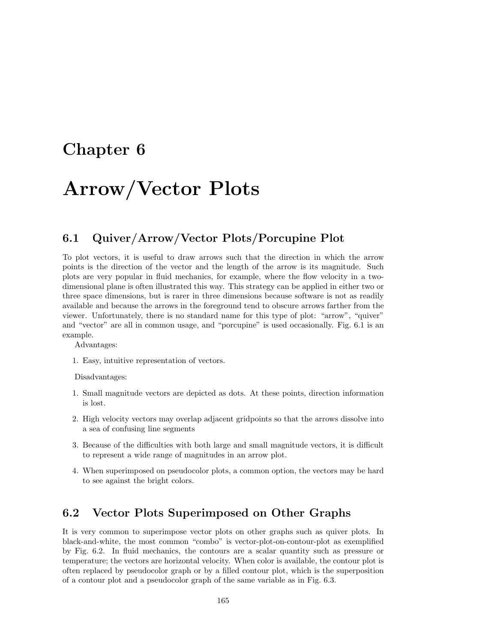# **Chapter 6**

# **Arrow/Vector Plots**

### **6.1 Quiver/Arrow/Vector Plots/Porcupine Plot**

To plot vectors, it is useful to draw arrows such that the direction in which the arrow points is the direction of the vector and the length of the arrow is its magnitude. Such plots are very popular in fluid mechanics, for example, where the flow velocity in a twodimensional plane is often illustrated this way. This strategy can be applied in either two or three space dimensions, but is rarer in three dimensions because software is not as readily available and because the arrows in the foreground tend to obscure arrows farther from the viewer. Unfortunately, there is no standard name for this type of plot: "arrow", "quiver" and "vector" are all in common usage, and "porcupine" is used occasionally. Fig. 6.1 is an example.

Advantages:

1. Easy, intuitive representation of vectors.

Disadvantages:

- 1. Small magnitude vectors are depicted as dots. At these points, direction information is lost.
- 2. High velocity vectors may overlap adjacent gridpoints so that the arrows dissolve into a sea of confusing line segments
- 3. Because of the difficulties with both large and small magnitude vectors, it is difficult to represent a wide range of magnitudes in an arrow plot.
- 4. When superimposed on pseudocolor plots, a common option, the vectors may be hard to see against the bright colors.

### **6.2 Vector Plots Superimposed on Other Graphs**

It is very common to superimpose vector plots on other graphs such as quiver plots. In black-and-white, the most common "combo" is vector-plot-on-contour-plot as exemplified by Fig. 6.2. In fluid mechanics, the contours are a scalar quantity such as pressure or temperature; the vectors are horizontal velocity. When color is available, the contour plot is often replaced by pseudocolor graph or by a filled contour plot, which is the superposition of a contour plot and a pseudocolor graph of the same variable as in Fig. 6.3.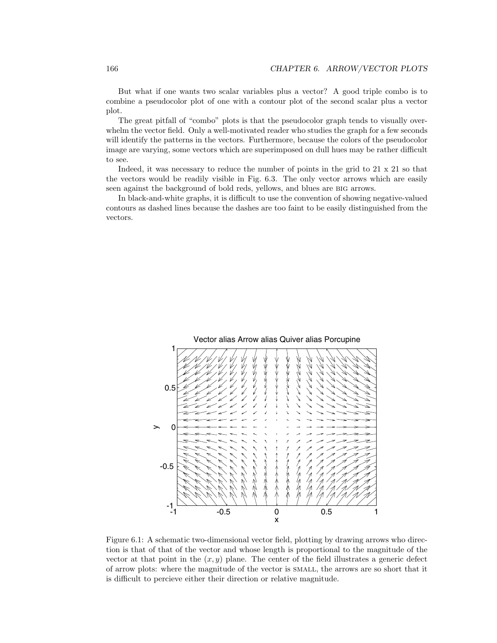But what if one wants two scalar variables plus a vector? A good triple combo is to combine a pseudocolor plot of one with a contour plot of the second scalar plus a vector plot.

The great pitfall of "combo" plots is that the pseudocolor graph tends to visually overwhelm the vector field. Only a well-motivated reader who studies the graph for a few seconds will identify the patterns in the vectors. Furthermore, because the colors of the pseudocolor image are varying, some vectors which are superimposed on dull hues may be rather difficult to see.

Indeed, it was necessary to reduce the number of points in the grid to 21 x 21 so that the vectors would be readily visible in Fig. 6.3. The only vector arrows which are easily seen against the background of bold reds, yellows, and blues are big arrows.

In black-and-white graphs, it is difficult to use the convention of showing negative-valued contours as dashed lines because the dashes are too faint to be easily distinguished from the vectors.



Figure 6.1: A schematic two-dimensional vector field, plotting by drawing arrows who direction is that of that of the vector and whose length is proportional to the magnitude of the vector at that point in the  $(x, y)$  plane. The center of the field illustrates a generic defect of arrow plots: where the magnitude of the vector is small, the arrows are so short that it is difficult to percieve either their direction or relative magnitude.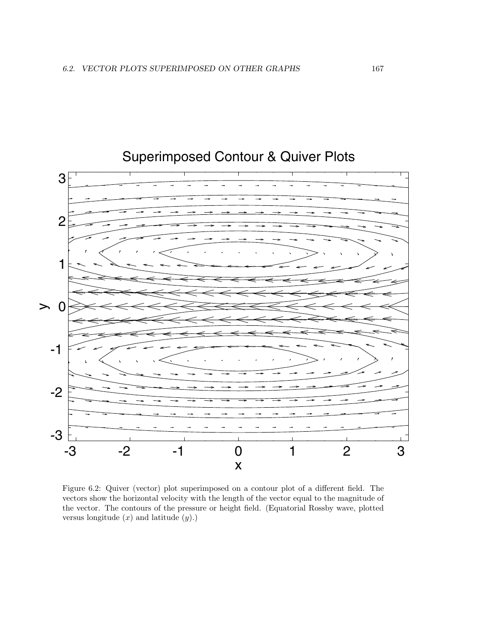

## Superimposed Contour & Quiver Plots

Figure 6.2: Quiver (vector) plot superimposed on a contour plot of a different field. The vectors show the horizontal velocity with the length of the vector equal to the magnitude of the vector. The contours of the pressure or height field. (Equatorial Rossby wave, plotted versus longitude (*x*) and latitude (*y*).)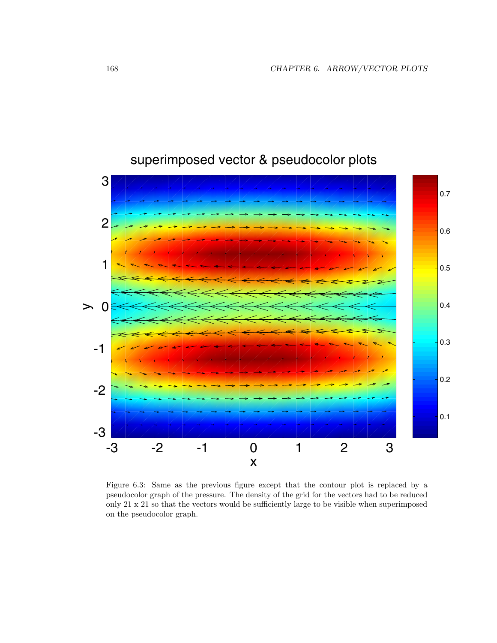

## superimposed vector & pseudocolor plots

Figure 6.3: Same as the previous figure except that the contour plot is replaced by a pseudocolor graph of the pressure. The density of the grid for the vectors had to be reduced only 21 x 21 so that the vectors would be sufficiently large to be visible when superimposed on the pseudocolor graph.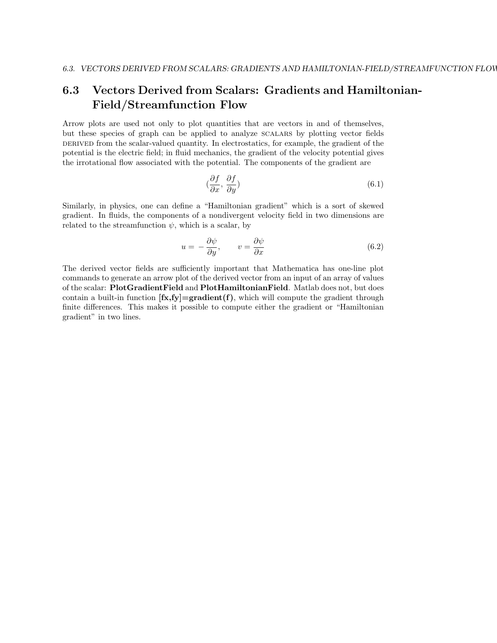### **6.3** Vectors Derived from Scalars: Gradients and Hamiltonian-**Field/Streamfunction Flow**

Arrow plots are used not only to plot quantities that are vectors in and of themselves, but these species of graph can be applied to analyze scalars by plotting vector fields DERIVED from the scalar-valued quantity. In electrostatics, for example, the gradient of the potential is the electric field; in fluid mechanics, the gradient of the velocity potential gives the irrotational flow associated with the potential. The components of the gradient are

$$
\left(\frac{\partial f}{\partial x}, \frac{\partial f}{\partial y}\right) \tag{6.1}
$$

Similarly, in physics, one can define a "Hamiltonian gradient" which is a sort of skewed gradient. In fluids, the components of a nondivergent velocity field in two dimensions are related to the streamfunction  $\psi$ , which is a scalar, by

$$
u = -\frac{\partial \psi}{\partial y}, \qquad v = \frac{\partial \psi}{\partial x} \tag{6.2}
$$

The derived vector fields are sufficiently important that Mathematica has one-line plot commands to generate an arrow plot of the derived vector from an input of an array of values of the scalar: **PlotGradientField** and **PlotHamiltonianField**. Matlab does not, but does contain a built-in function  $[f\mathbf{x}, f\mathbf{y}] = \mathbf{gradient}(f)$ , which will compute the gradient through finite differences. This makes it possible to compute either the gradient or "Hamiltonian gradient" in two lines.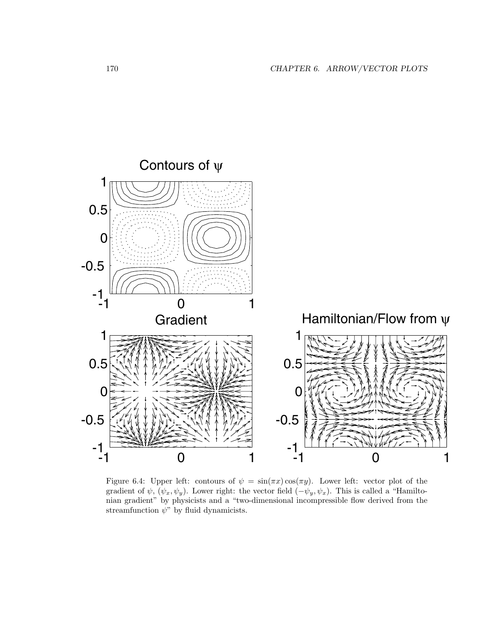

Figure 6.4: Upper left: contours of  $\psi = \sin(\pi x) \cos(\pi y)$ . Lower left: vector plot of the gradient of  $\psi$ ,  $(\psi_x, \psi_y)$ . Lower right: the vector field  $(-\psi_y, \psi_x)$ . This is called a "Hamiltonian gradient" by physicists and a "two-dimensional incompressible flow derived from the streamfunction *ψ*" by fluid dynamicists.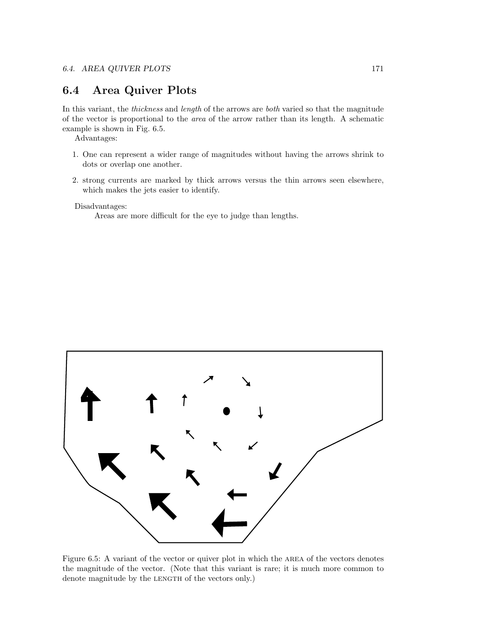#### **6.4 Area Quiver Plots**

In this variant, the *thickness* and *length* of the arrows are *both* varied so that the magnitude of the vector is proportional to the area of the arrow rather than its length. A schematic example is shown in Fig. 6.5.

Advantages:

- 1. One can represent a wider range of magnitudes without having the arrows shrink to dots or overlap one another.
- 2. strong currents are marked by thick arrows versus the thin arrows seen elsewhere, which makes the jets easier to identify.

Disadvantages:

Areas are more difficult for the eye to judge than lengths.



Figure 6.5: A variant of the vector or quiver plot in which the area of the vectors denotes the magnitude of the vector. (Note that this variant is rare; it is much more common to denote magnitude by the LENGTH of the vectors only.)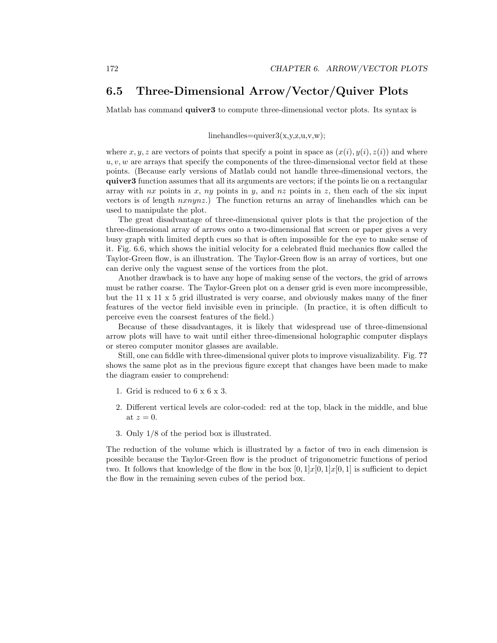### **6.5 Three-Dimensional Arrow/Vector/Quiver Plots**

Matlab has command **quiver3** to compute three-dimensional vector plots. Its syntax is

#### linehandles=quiver $3(x,y,z,u,v,w);$

where *x, y, z* are vectors of points that specify a point in space as  $(x(i), y(i), z(i))$  and where *u, v, w* are arrays that specify the components of the three-dimensional vector field at these points. (Because early versions of Matlab could not handle three-dimensional vectors, the **quiver3** function assumes that all its arguments are vectors; if the points lie on a rectangular array with *nx* points in *x*, *ny* points in *y*, and *nz* points in *z*, then each of the six input vectors is of length *nxnynz*.) The function returns an array of linehandles which can be used to manipulate the plot.

The great disadvantage of three-dimensional quiver plots is that the projection of the three-dimensional array of arrows onto a two-dimensional flat screen or paper gives a very busy graph with limited depth cues so that is often impossible for the eye to make sense of it. Fig. 6.6, which shows the initial velocity for a celebrated fluid mechanics flow called the Taylor-Green flow, is an illustration. The Taylor-Green flow is an array of vortices, but one can derive only the vaguest sense of the vortices from the plot.

Another drawback is to have any hope of making sense of the vectors, the grid of arrows must be rather coarse. The Taylor-Green plot on a denser grid is even more incompressible, but the 11 x 11 x 5 grid illustrated is very coarse, and obviously makes many of the finer features of the vector field invisible even in principle. (In practice, it is often difficult to perceive even the coarsest features of the field.)

Because of these disadvantages, it is likely that widespread use of three-dimensional arrow plots will have to wait until either three-dimensional holographic computer displays or stereo computer monitor glasses are available.

Still, one can fiddle with three-dimensional quiver plots to improve visualizability. Fig. **??** shows the same plot as in the previous figure except that changes have been made to make the diagram easier to comprehend:

- 1. Grid is reduced to 6 x 6 x 3.
- 2. Different vertical levels are color-coded: red at the top, black in the middle, and blue at  $z=0$ .
- 3. Only 1/8 of the period box is illustrated.

The reduction of the volume which is illustrated by a factor of two in each dimension is possible because the Taylor-Green flow is the product of trigonometric functions of period two. It follows that knowledge of the flow in the box  $[0,1]x[0,1]x[0,1]$  is sufficient to depict the flow in the remaining seven cubes of the period box.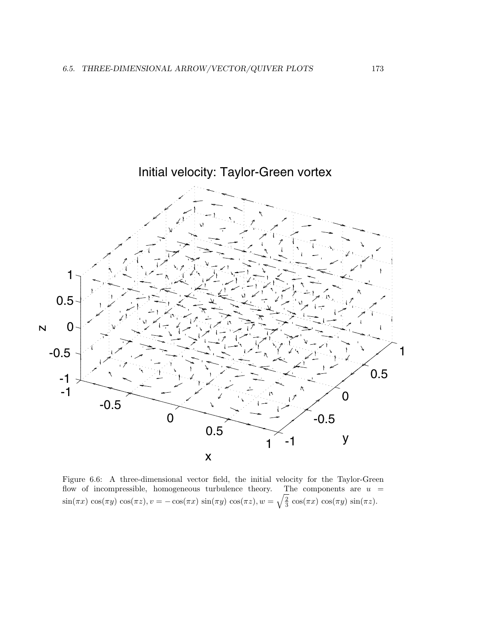

Figure 6.6: A three-dimensional vector field, the initial velocity for the Taylor-Green flow of incompressible, homogeneous turbulence theory. The components are  $u =$  $\sin(\pi x) \cos(\pi y) \cos(\pi z), v = -\cos(\pi x) \sin(\pi y) \cos(\pi z), w = \sqrt{\frac{2}{3}} \cos(\pi x) \cos(\pi y) \sin(\pi z).$